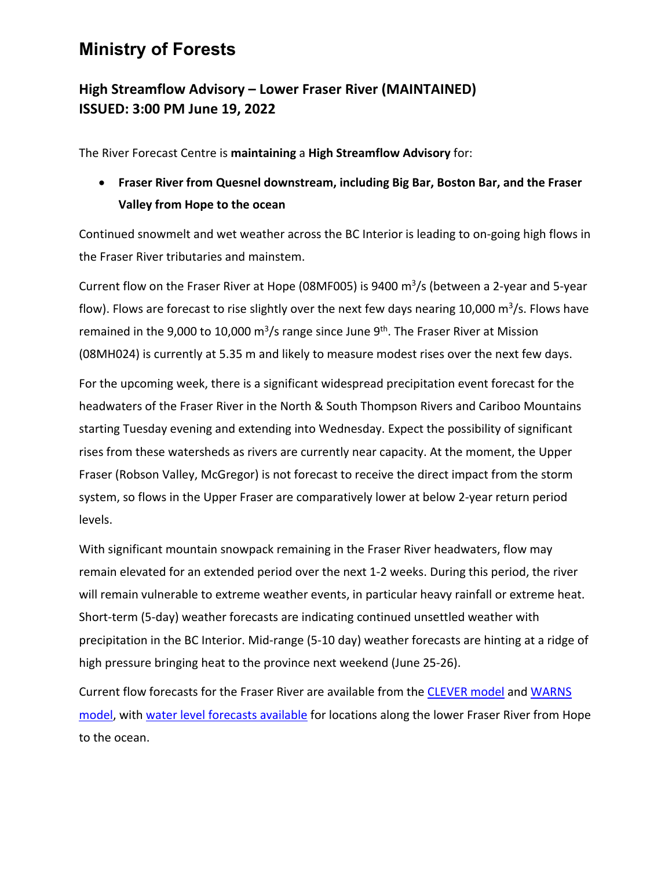## **Ministry of Forests**

## **High Streamflow Advisory – Lower Fraser River (MAINTAINED) ISSUED: 3:00 PM June 19, 2022**

The River Forecast Centre is **maintaining** a **High Streamflow Advisory** for:

 **Fraser River from Quesnel downstream, including Big Bar, Boston Bar, and the Fraser Valley from Hope to the ocean**

Continued snowmelt and wet weather across the BC Interior is leading to on‐going high flows in the Fraser River tributaries and mainstem.

Current flow on the Fraser River at Hope (08MF005) is 9400  $\mathrm{m}^3$ /s (between a 2-year and 5-year flow). Flows are forecast to rise slightly over the next few days nearing 10,000  $\text{m}^3$ /s. Flows have remained in the 9,000 to 10,000  $\text{m}^3/\text{s}$  range since June 9<sup>th</sup>. The Fraser River at Mission (08MH024) is currently at 5.35 m and likely to measure modest rises over the next few days.

For the upcoming week, there is a significant widespread precipitation event forecast for the headwaters of the Fraser River in the North & South Thompson Rivers and Cariboo Mountains starting Tuesday evening and extending into Wednesday. Expect the possibility of significant rises from these watersheds as rivers are currently near capacity. At the moment, the Upper Fraser (Robson Valley, McGregor) is not forecast to receive the direct impact from the storm system, so flows in the Upper Fraser are comparatively lower at below 2‐year return period levels.

With significant mountain snowpack remaining in the Fraser River headwaters, flow may remain elevated for an extended period over the next 1‐2 weeks. During this period, the river will remain vulnerable to extreme weather events, in particular heavy rainfall or extreme heat. Short-term (5-day) weather forecasts are indicating continued unsettled weather with precipitation in the BC Interior. Mid‐range (5‐10 day) weather forecasts are hinting at a ridge of high pressure bringing heat to the province next weekend (June 25‐26).

Current flow forecasts for the Fraser River are available from the CLEVER model and WARNS model, with water level forecasts available for locations along the lower Fraser River from Hope to the ocean.